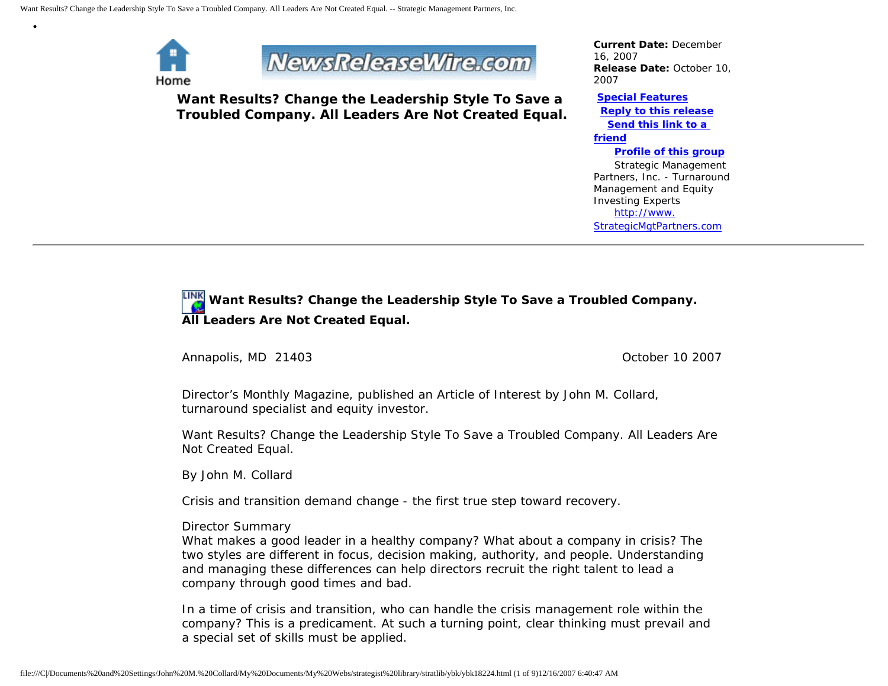

•



**Want Results? Change the Leadership Style To Save a Troubled Company. All Leaders Are Not Created Equal.**

*Current Date:* December 16, 2007 *Release Date:* October 10, 2007

**[Special Features](javascript:openlittleme() [Reply to this release](file:///C|/Documents%20and%20Settings/John%20M.%20Collard/My%20Documents/My%20Webs/strategist%20library/stratlib/ybk/default.cfm?Action=ReplyRelease&Id=18224) [Send this link to a](file:///C|/Documents%20and%20Settings/John%20M.%20Collard/My%20Documents/My%20Webs/strategist%20library/stratlib/ybk/default.cfm?Action=SendLink&SendId=18224)  [friend](file:///C|/Documents%20and%20Settings/John%20M.%20Collard/My%20Documents/My%20Webs/strategist%20library/stratlib/ybk/default.cfm?Action=SendLink&SendId=18224)**

 **[Profile of this group](file:///C|/Documents%20and%20Settings/John%20M.%20Collard/My%20Documents/My%20Webs/strategist%20library/stratlib/ybk/default.cfm?Action=Profile&ProfileId=623)** Strategic Management Partners, Inc. - Turnaround Management and Equity Investing Experts [http://www.](http://www.strategicmgtpartners.com/) [StrategicMgtPartners.com](http://www.strategicmgtpartners.com/)

# **Want Results? Change the Leadership Style To Save a Troubled Company. All Leaders Are Not Created Equal.**

Annapolis, MD 21403 **Details and Annapolis** MD 21403

Director's Monthly Magazine, published an Article of Interest by John M. Collard, turnaround specialist and equity investor.

Want Results? Change the Leadership Style To Save a Troubled Company. All Leaders Are Not Created Equal.

By John M. Collard

Crisis and transition demand change - the first true step toward recovery.

# Director Summary

What makes a good leader in a healthy company? What about a company in crisis? The two styles are different in focus, decision making, authority, and people. Understanding and managing these differences can help directors recruit the right talent to lead a company through good times and bad.

In a time of crisis and transition, who can handle the crisis management role within the company? This is a predicament. At such a turning point, clear thinking must prevail and a special set of skills must be applied.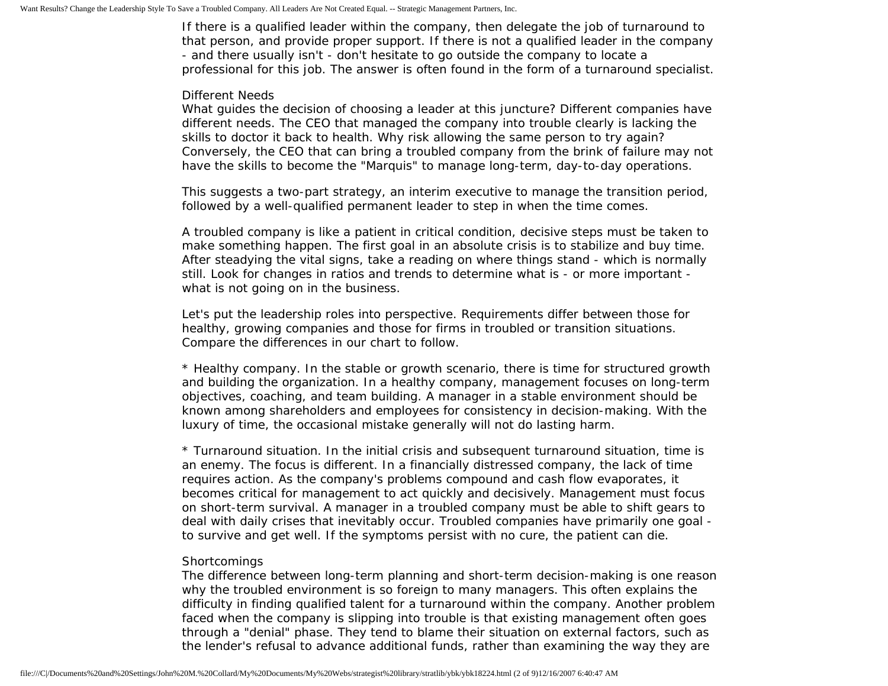If there is a qualified leader within the company, then delegate the job of turnaround to that person, and provide proper support. If there is not a qualified leader in the company - and there usually isn't - don't hesitate to go outside the company to locate a professional for this job. The answer is often found in the form of a turnaround specialist.

#### Different Needs

What guides the decision of choosing a leader at this juncture? Different companies have different needs. The CEO that managed the company into trouble clearly is lacking the skills to doctor it back to health. Why risk allowing the same person to try again? Conversely, the CEO that can bring a troubled company from the brink of failure may not have the skills to become the "Marquis" to manage long-term, day-to-day operations.

This suggests a two-part strategy, an interim executive to manage the transition period, followed by a well-qualified permanent leader to step in when the time comes.

A troubled company is like a patient in critical condition, decisive steps must be taken to make something happen. The first goal in an absolute crisis is to stabilize and buy time. After steadying the vital signs, take a reading on where things stand - which is normally still. Look for changes in ratios and trends to determine what is - or more important what is not going on in the business.

Let's put the leadership roles into perspective. Requirements differ between those for healthy, growing companies and those for firms in troubled or transition situations. Compare the differences in our chart to follow.

\* Healthy company. In the stable or growth scenario, there is time for structured growth and building the organization. In a healthy company, management focuses on long-term objectives, coaching, and team building. A manager in a stable environment should be known among shareholders and employees for consistency in decision-making. With the luxury of time, the occasional mistake generally will not do lasting harm.

\* Turnaround situation. In the initial crisis and subsequent turnaround situation, time is an enemy. The focus is different. In a financially distressed company, the lack of time requires action. As the company's problems compound and cash flow evaporates, it becomes critical for management to act quickly and decisively. Management must focus on short-term survival. A manager in a troubled company must be able to shift gears to deal with daily crises that inevitably occur. Troubled companies have primarily one goal to survive and get well. If the symptoms persist with no cure, the patient can die.

#### **Shortcomings**

The difference between long-term planning and short-term decision-making is one reason why the troubled environment is so foreign to many managers. This often explains the difficulty in finding qualified talent for a turnaround within the company. Another problem faced when the company is slipping into trouble is that existing management often goes through a "denial" phase. They tend to blame their situation on external factors, such as the lender's refusal to advance additional funds, rather than examining the way they are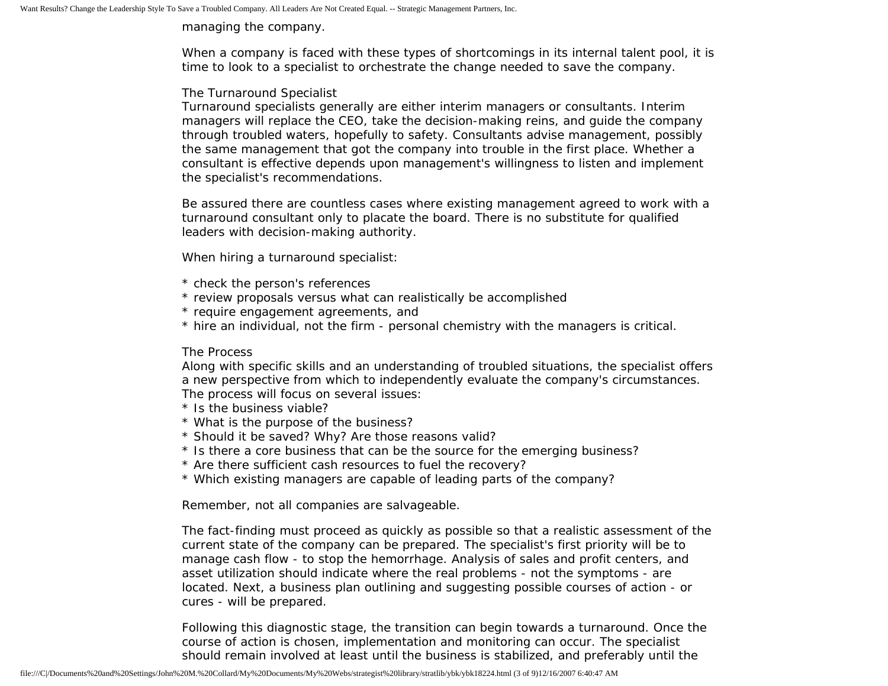managing the company.

When a company is faced with these types of shortcomings in its internal talent pool, it is time to look to a specialist to orchestrate the change needed to save the company.

# The Turnaround Specialist

Turnaround specialists generally are either interim managers or consultants. Interim managers will replace the CEO, take the decision-making reins, and guide the company through troubled waters, hopefully to safety. Consultants advise management, possibly the same management that got the company into trouble in the first place. Whether a consultant is effective depends upon management's willingness to listen and implement the specialist's recommendations.

Be assured there are countless cases where existing management agreed to work with a turnaround consultant only to placate the board. There is no substitute for qualified leaders with decision-making authority.

When hiring a turnaround specialist:

- \* check the person's references
- \* review proposals versus what can realistically be accomplished
- \* require engagement agreements, and
- \* hire an individual, not the firm personal chemistry with the managers is critical.

# The Process

Along with specific skills and an understanding of troubled situations, the specialist offers a new perspective from which to independently evaluate the company's circumstances. The process will focus on several issues:

- \* Is the business viable?
- \* What is the purpose of the business?
- \* Should it be saved? Why? Are those reasons valid?
- \* Is there a core business that can be the source for the emerging business?
- \* Are there sufficient cash resources to fuel the recovery?
- \* Which existing managers are capable of leading parts of the company?

Remember, not all companies are salvageable.

The fact-finding must proceed as quickly as possible so that a realistic assessment of the current state of the company can be prepared. The specialist's first priority will be to manage cash flow - to stop the hemorrhage. Analysis of sales and profit centers, and asset utilization should indicate where the real problems - not the symptoms - are located. Next, a business plan outlining and suggesting possible courses of action - or cures - will be prepared.

Following this diagnostic stage, the transition can begin towards a turnaround. Once the course of action is chosen, implementation and monitoring can occur. The specialist should remain involved at least until the business is stabilized, and preferably until the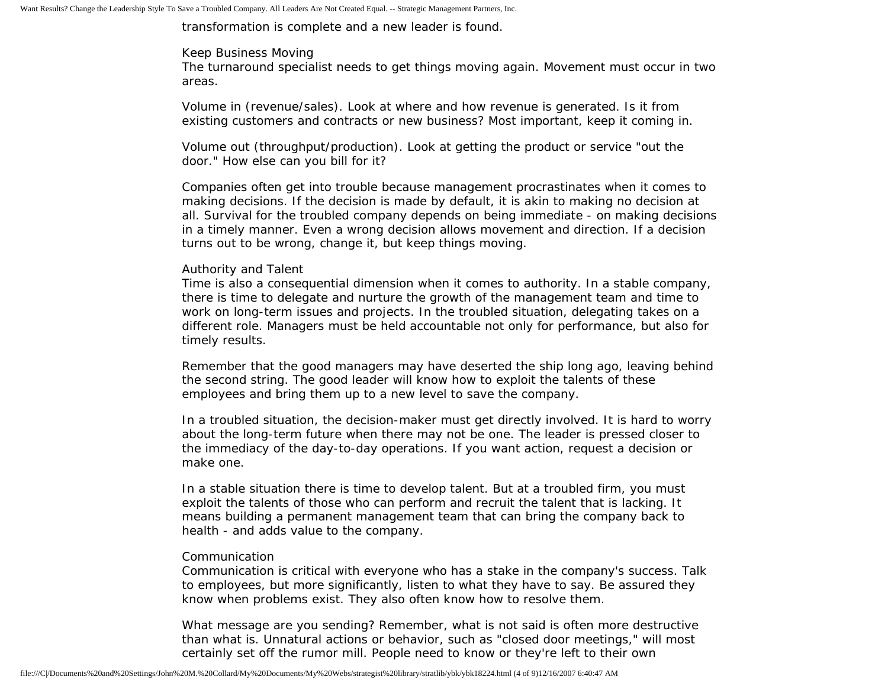transformation is complete and a new leader is found.

## Keep Business Moving

The turnaround specialist needs to get things moving again. Movement must occur in two areas.

Volume in (revenue/sales). Look at where and how revenue is generated. Is it from existing customers and contracts or new business? Most important, keep it coming in.

Volume out (throughput/production). Look at getting the product or service "out the door." How else can you bill for it?

Companies often get into trouble because management procrastinates when it comes to making decisions. If the decision is made by default, it is akin to making no decision at all. Survival for the troubled company depends on being immediate - on making decisions in a timely manner. Even a wrong decision allows movement and direction. If a decision turns out to be wrong, change it, but keep things moving.

# Authority and Talent

Time is also a consequential dimension when it comes to authority. In a stable company, there is time to delegate and nurture the growth of the management team and time to work on long-term issues and projects. In the troubled situation, delegating takes on a different role. Managers must be held accountable not only for performance, but also for timely results.

Remember that the good managers may have deserted the ship long ago, leaving behind the second string. The good leader will know how to exploit the talents of these employees and bring them up to a new level to save the company.

In a troubled situation, the decision-maker must get directly involved. It is hard to worry about the long-term future when there may not be one. The leader is pressed closer to the immediacy of the day-to-day operations. If you want action, request a decision or make one.

In a stable situation there is time to develop talent. But at a troubled firm, you must exploit the talents of those who can perform and recruit the talent that is lacking. It means building a permanent management team that can bring the company back to health - and adds value to the company.

#### Communication

Communication is critical with everyone who has a stake in the company's success. Talk to employees, but more significantly, listen to what they have to say. Be assured they know when problems exist. They also often know how to resolve them.

What message are you sending? Remember, what is not said is often more destructive than what is. Unnatural actions or behavior, such as "closed door meetings," will most certainly set off the rumor mill. People need to know or they're left to their own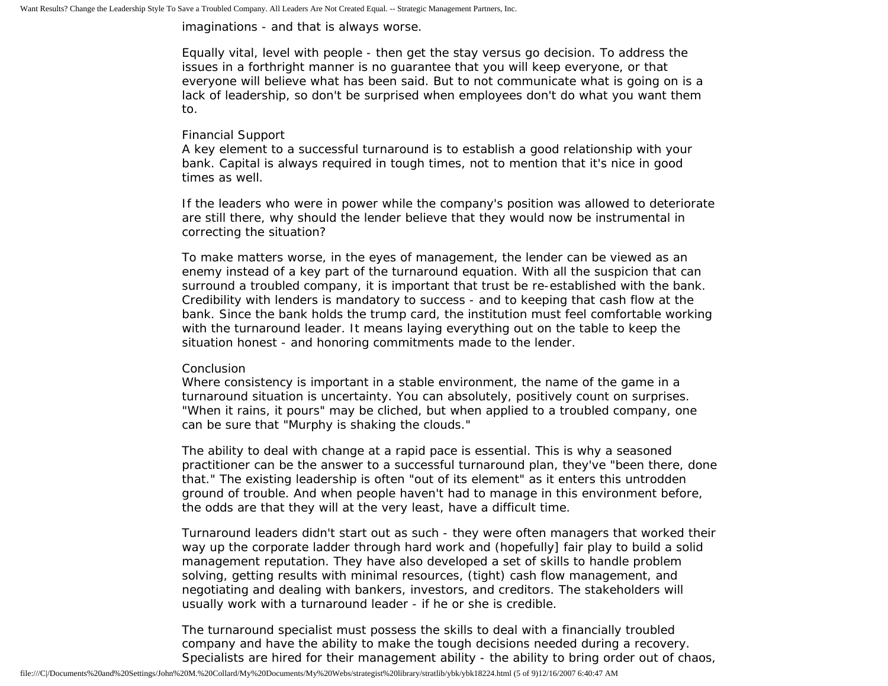imaginations - and that is always worse.

Equally vital, level with people - then get the stay versus go decision. To address the issues in a forthright manner is no guarantee that you will keep everyone, or that everyone will believe what has been said. But to not communicate what is going on is a lack of leadership, so don't be surprised when employees don't do what you want them to.

## Financial Support

A key element to a successful turnaround is to establish a good relationship with your bank. Capital is always required in tough times, not to mention that it's nice in good times as well.

If the leaders who were in power while the company's position was allowed to deteriorate are still there, why should the lender believe that they would now be instrumental in correcting the situation?

To make matters worse, in the eyes of management, the lender can be viewed as an enemy instead of a key part of the turnaround equation. With all the suspicion that can surround a troubled company, it is important that trust be re-established with the bank. Credibility with lenders is mandatory to success - and to keeping that cash flow at the bank. Since the bank holds the trump card, the institution must feel comfortable working with the turnaround leader. It means laying everything out on the table to keep the situation honest - and honoring commitments made to the lender.

#### Conclusion

Where consistency is important in a stable environment, the name of the game in a turnaround situation is uncertainty. You can absolutely, positively count on surprises. "When it rains, it pours" may be cliched, but when applied to a troubled company, one can be sure that "Murphy is shaking the clouds."

The ability to deal with change at a rapid pace is essential. This is why a seasoned practitioner can be the answer to a successful turnaround plan, they've "been there, done that." The existing leadership is often "out of its element" as it enters this untrodden ground of trouble. And when people haven't had to manage in this environment before, the odds are that they will at the very least, have a difficult time.

Turnaround leaders didn't start out as such - they were often managers that worked their way up the corporate ladder through hard work and (hopefully] fair play to build a solid management reputation. They have also developed a set of skills to handle problem solving, getting results with minimal resources, (tight) cash flow management, and negotiating and dealing with bankers, investors, and creditors. The stakeholders will usually work with a turnaround leader - if he or she is credible.

The turnaround specialist must possess the skills to deal with a financially troubled company and have the ability to make the tough decisions needed during a recovery. Specialists are hired for their management ability - the ability to bring order out of chaos,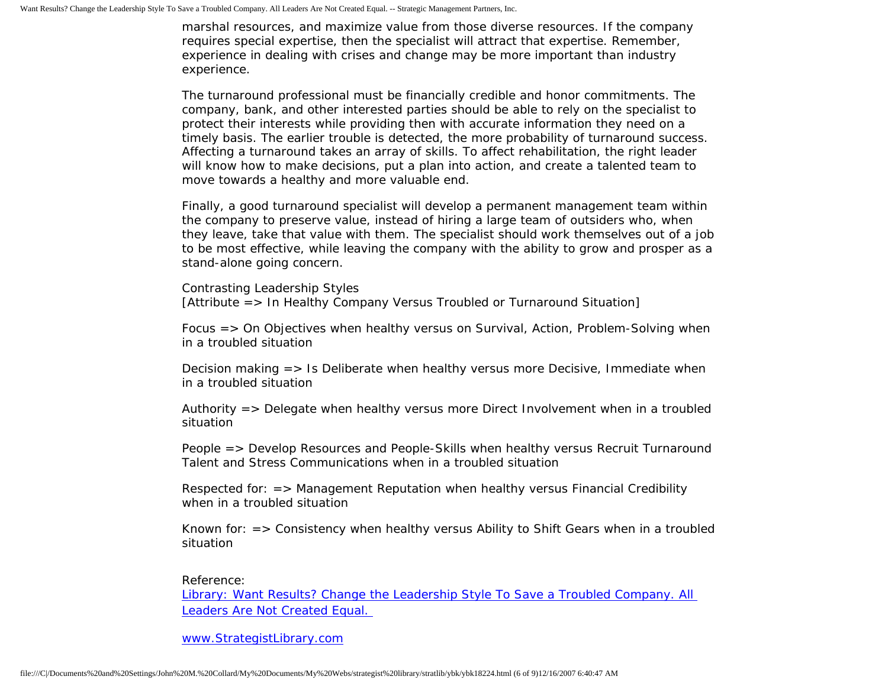marshal resources, and maximize value from those diverse resources. If the company requires special expertise, then the specialist will attract that expertise. Remember, experience in dealing with crises and change may be more important than industry experience.

The turnaround professional must be financially credible and honor commitments. The company, bank, and other interested parties should be able to rely on the specialist to protect their interests while providing then with accurate information they need on a timely basis. The earlier trouble is detected, the more probability of turnaround success. Affecting a turnaround takes an array of skills. To affect rehabilitation, the right leader will know how to make decisions, put a plan into action, and create a talented team to move towards a healthy and more valuable end.

Finally, a good turnaround specialist will develop a permanent management team within the company to preserve value, instead of hiring a large team of outsiders who, when they leave, take that value with them. The specialist should work themselves out of a job to be most effective, while leaving the company with the ability to grow and prosper as a stand-alone going concern.

Contrasting Leadership Styles [Attribute => In Healthy Company Versus Troubled or Turnaround Situation]

Focus => On Objectives when healthy versus on Survival, Action, Problem-Solving when in a troubled situation

Decision making => Is Deliberate when healthy versus more Decisive, Immediate when in a troubled situation

Authority => Delegate when healthy versus more Direct Involvement when in a troubled situation

People => Develop Resources and People-Skills when healthy versus Recruit Turnaround Talent and Stress Communications when in a troubled situation

Respected for: => Management Reputation when healthy versus Financial Credibility when in a troubled situation

Known for: => Consistency when healthy versus Ability to Shift Gears when in a troubled situation

Reference:

[Library: Want Results? Change the Leadership Style To Save a Troubled Company. All](http://members.aol.com/stratlib/dml.html)  [Leaders Are Not Created Equal.](http://members.aol.com/stratlib/dml.html) 

[www.StrategistLibrary.com](http://www.strategistlibrary.com/)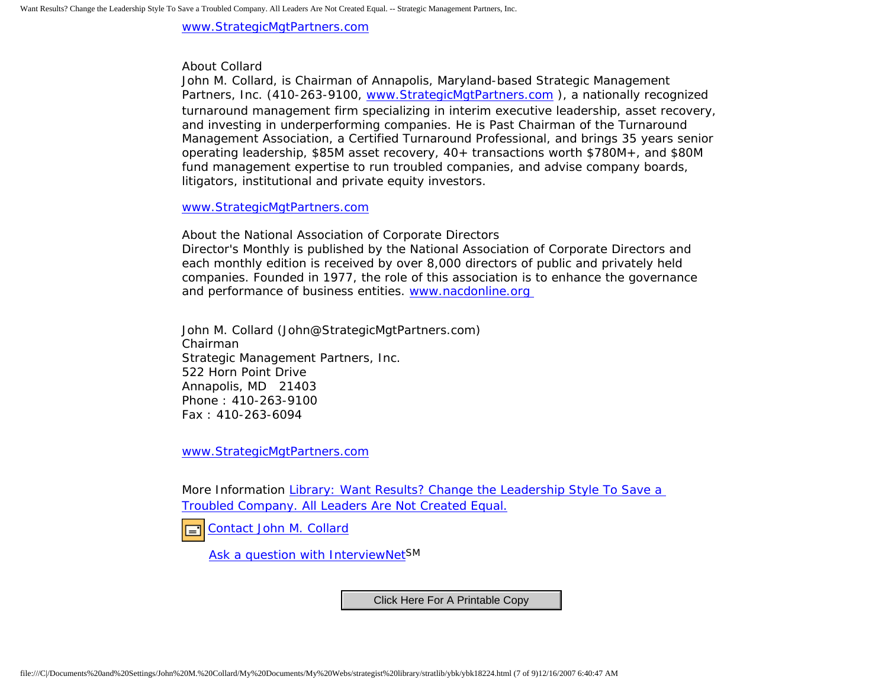[www.StrategicMgtPartners.com](http://www.strategicmgtpartners.com/)

# About Collard

John M. Collard, is Chairman of Annapolis, Maryland-based Strategic Management Partners, Inc. (410-263-9100, [www.StrategicMgtPartners.com](http://www.strategicmgtpartners.com/) ), a nationally recognized turnaround management firm specializing in interim executive leadership, asset recovery, and investing in underperforming companies. He is Past Chairman of the Turnaround Management Association, a Certified Turnaround Professional, and brings 35 years senior operating leadership, \$85M asset recovery, 40+ transactions worth \$780M+, and \$80M fund management expertise to run troubled companies, and advise company boards, litigators, institutional and private equity investors.

#### [www.StrategicMgtPartners.com](http://www.strategicmgtpartners.com/)

About the National Association of Corporate Directors

Director's Monthly is published by the National Association of Corporate Directors and each monthly edition is received by over 8,000 directors of public and privately held companies. Founded in 1977, the role of this association is to enhance the governance and performance of business entities. [www.nacdonline.org](http://www.nacdonline.org/) 

John M. Collard (John@StrategicMgtPartners.com) Chairman Strategic Management Partners, Inc. 522 Horn Point Drive Annapolis, MD 21403 Phone : 410-263-9100 Fax : 410-263-6094

[www.StrategicMgtPartners.com](http://www.strategicmgtpartners.com/)

More Information [Library: Want Results? Change the Leadership Style To Save a](http://members.aol.com/stratlib/dml.html) [Troubled Company. All Leaders Are Not Created Equal.](http://members.aol.com/stratlib/dml.html)

[Contact John M. Collard](http://www.expertclick.com/expertClick/contact/default.cfm?Action=ContactExpert&GroupID=1016) □

[Ask a question with InterviewNetS](http://www.expertclick.com/expertClick/contact/default.cfm?GroupID=1016)M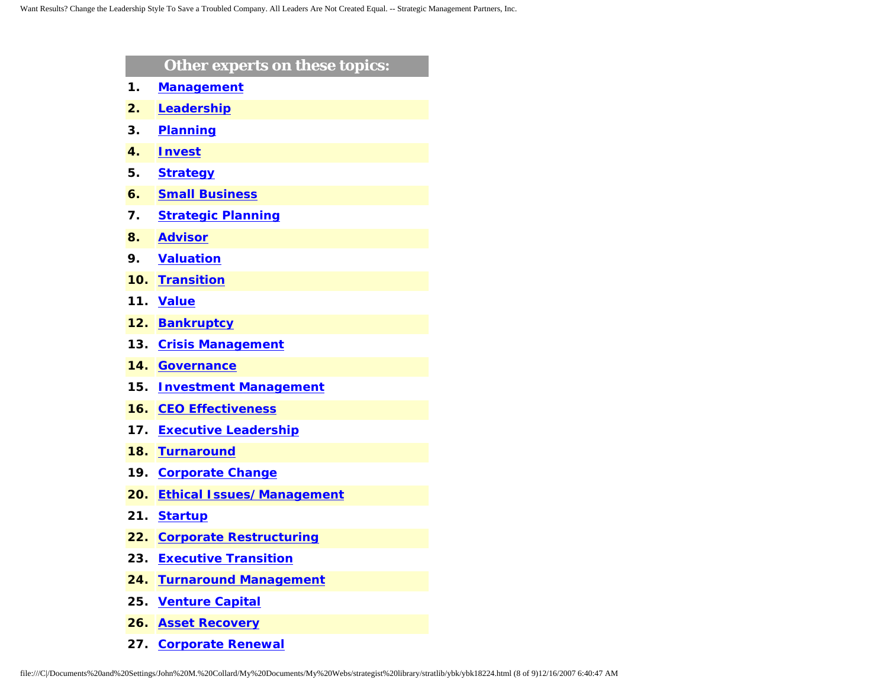|     | Other experts on these topics:   |
|-----|----------------------------------|
| 1.  | <b>Management</b>                |
| 2.  | Leadership                       |
| 3.  | <b>Planning</b>                  |
| 4.  | <b>Invest</b>                    |
| 5.  | <b>Strategy</b>                  |
| 6.  | <b>Small Business</b>            |
| 7.  | <b>Strategic Planning</b>        |
| 8.  | <b>Advisor</b>                   |
| 9.  | <b>Valuation</b>                 |
| 10. | <b>Transition</b>                |
| 11. | <b>Value</b>                     |
| 12. | <b>Bankruptcy</b>                |
| 13. | <b>Crisis Management</b>         |
| 14. | <b>Governance</b>                |
| 15. | <b>Investment Management</b>     |
| 16. | <b>CEO Effectiveness</b>         |
| 17. | <b>Executive Leadership</b>      |
| 18. | <b>Turnaround</b>                |
| 19. | <b>Corporate Change</b>          |
| 20. | <b>Ethical Issues/Management</b> |
| 21. | <b>Startup</b>                   |
| 22. | <b>Corporate Restructuring</b>   |
| 23. | <b>Executive Transition</b>      |
| 24. | <b>Turnaround Management</b>     |
| 25. | <b>Venture Capital</b>           |
| 26. | <b>Asset Recovery</b>            |

**27. [Corporate Renewal](http://www.expertclick.com/search/default.cfm?SearchCriteria=Corporate Renewal)**